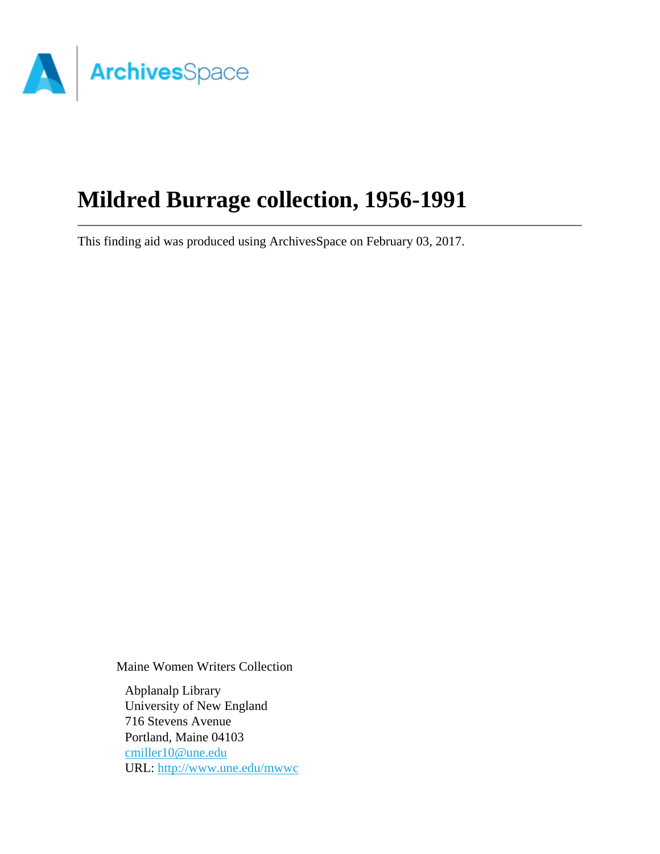

# **Mildred Burrage collection, 1956-1991**

This finding aid was produced using ArchivesSpace on February 03, 2017.

Maine Women Writers Collection

Abplanalp Library University of New England 716 Stevens Avenue Portland, Maine 04103 [cmiller10@une.edu](mailto:cmiller10@une.edu) URL:<http://www.une.edu/mwwc>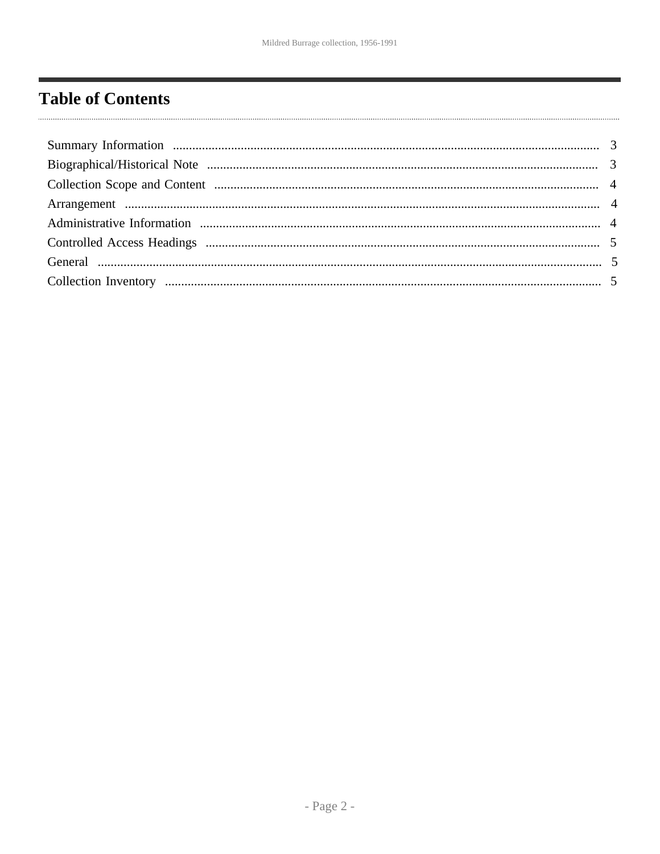# <span id="page-1-0"></span>**Table of Contents**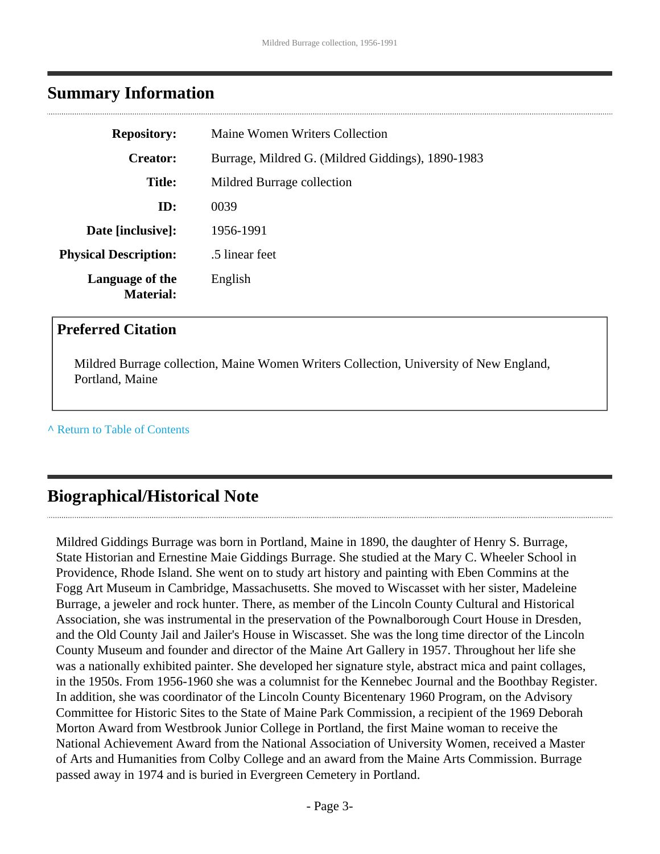### <span id="page-2-0"></span>**Summary Information**

| <b>Repository:</b>                  | Maine Women Writers Collection                    |  |  |
|-------------------------------------|---------------------------------------------------|--|--|
| <b>Creator:</b>                     | Burrage, Mildred G. (Mildred Giddings), 1890-1983 |  |  |
| <b>Title:</b>                       | Mildred Burrage collection                        |  |  |
| ID:                                 | 0039                                              |  |  |
| Date [inclusive]:                   | 1956-1991                                         |  |  |
| <b>Physical Description:</b>        | .5 linear feet                                    |  |  |
| Language of the<br><b>Material:</b> | English                                           |  |  |

#### **Preferred Citation**

Mildred Burrage collection, Maine Women Writers Collection, University of New England, Portland, Maine

#### **^** [Return to Table of Contents](#page-1-0)

## <span id="page-2-1"></span>**Biographical/Historical Note**

Mildred Giddings Burrage was born in Portland, Maine in 1890, the daughter of Henry S. Burrage, State Historian and Ernestine Maie Giddings Burrage. She studied at the Mary C. Wheeler School in Providence, Rhode Island. She went on to study art history and painting with Eben Commins at the Fogg Art Museum in Cambridge, Massachusetts. She moved to Wiscasset with her sister, Madeleine Burrage, a jeweler and rock hunter. There, as member of the Lincoln County Cultural and Historical Association, she was instrumental in the preservation of the Pownalborough Court House in Dresden, and the Old County Jail and Jailer's House in Wiscasset. She was the long time director of the Lincoln County Museum and founder and director of the Maine Art Gallery in 1957. Throughout her life she was a nationally exhibited painter. She developed her signature style, abstract mica and paint collages, in the 1950s. From 1956-1960 she was a columnist for the Kennebec Journal and the Boothbay Register. In addition, she was coordinator of the Lincoln County Bicentenary 1960 Program, on the Advisory Committee for Historic Sites to the State of Maine Park Commission, a recipient of the 1969 Deborah Morton Award from Westbrook Junior College in Portland, the first Maine woman to receive the National Achievement Award from the National Association of University Women, received a Master of Arts and Humanities from Colby College and an award from the Maine Arts Commission. Burrage passed away in 1974 and is buried in Evergreen Cemetery in Portland.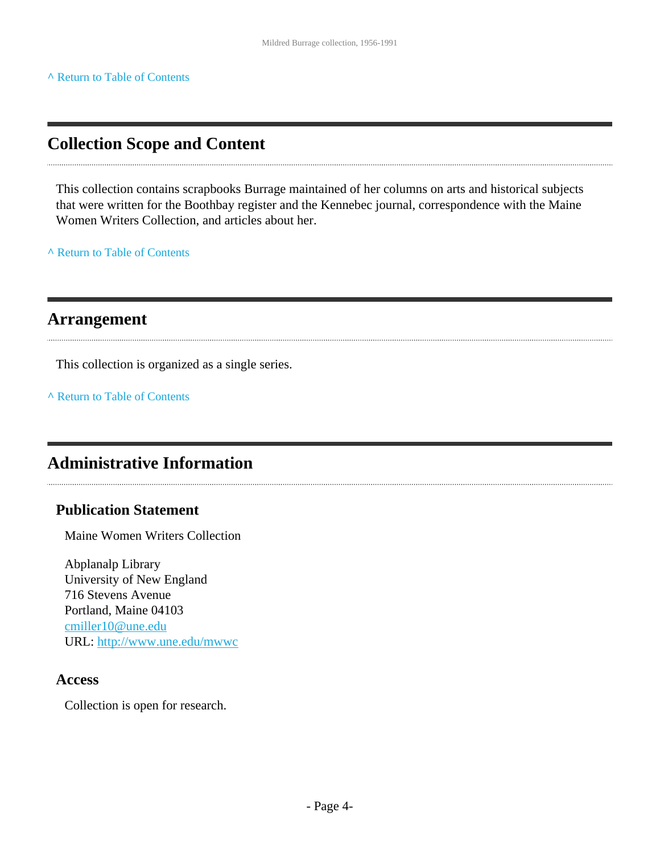#### **^** [Return to Table of Contents](#page-1-0)

### <span id="page-3-0"></span>**Collection Scope and Content**

This collection contains scrapbooks Burrage maintained of her columns on arts and historical subjects that were written for the Boothbay register and the Kennebec journal, correspondence with the Maine Women Writers Collection, and articles about her.

**^** [Return to Table of Contents](#page-1-0)

#### <span id="page-3-1"></span>**Arrangement**

This collection is organized as a single series.

**^** [Return to Table of Contents](#page-1-0)

### <span id="page-3-2"></span>**Administrative Information**

#### **Publication Statement**

Maine Women Writers Collection

Abplanalp Library University of New England 716 Stevens Avenue Portland, Maine 04103 [cmiller10@une.edu](mailto:cmiller10@une.edu) URL:<http://www.une.edu/mwwc>

#### **Access**

Collection is open for research.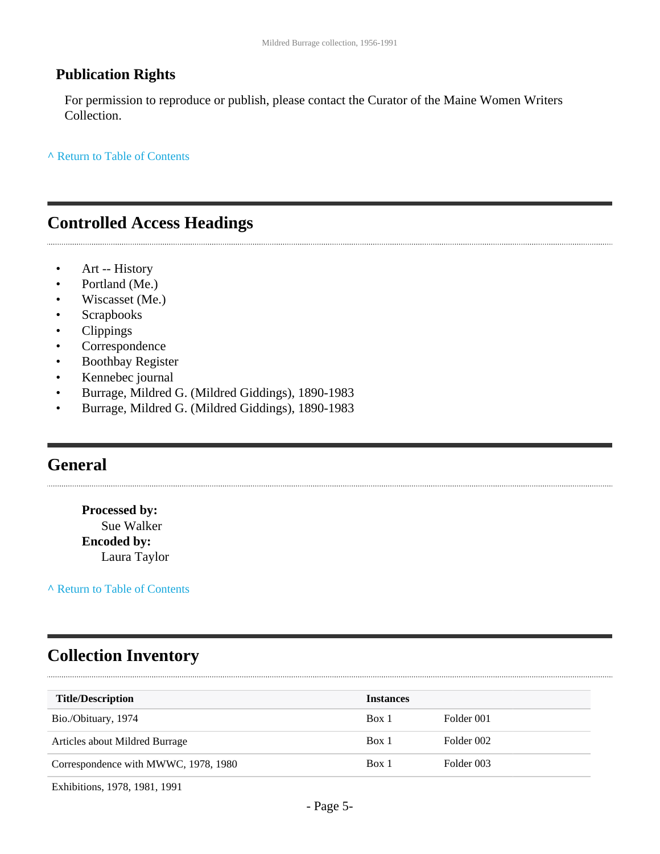#### **Publication Rights**

For permission to reproduce or publish, please contact the Curator of the Maine Women Writers Collection.

**^** [Return to Table of Contents](#page-1-0)

#### <span id="page-4-0"></span>**Controlled Access Headings**

• Art -- History

- Portland (Me.)
- Wiscasset (Me.)
- Scrapbooks
- Clippings
- Correspondence
- Boothbay Register
- Kennebec journal
- Burrage, Mildred G. (Mildred Giddings), 1890-1983
- Burrage, Mildred G. (Mildred Giddings), 1890-1983

### <span id="page-4-1"></span>**General**

**Processed by:** Sue Walker **Encoded by:** Laura Taylor

**^** [Return to Table of Contents](#page-1-0)

# <span id="page-4-2"></span>**Collection Inventory**

| <b>Title/Description</b>             | <b>Instances</b> |            |
|--------------------------------------|------------------|------------|
| Bio./Obituary, 1974                  | Box 1            | Folder 001 |
| Articles about Mildred Burrage       | Box 1            | Folder 002 |
| Correspondence with MWWC, 1978, 1980 | Box 1            | Folder 003 |

Exhibitions, 1978, 1981, 1991